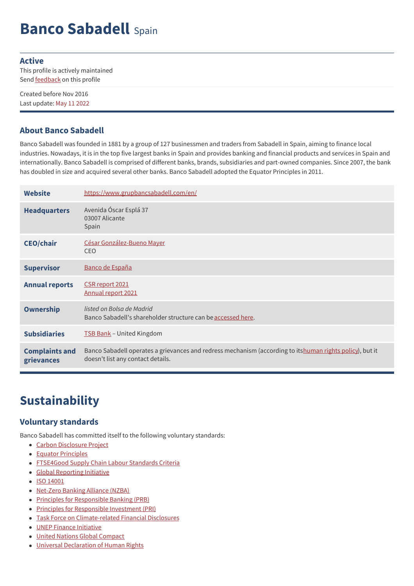# **Banco Sabadell** Spain

#### **Active**

This profile is actively maintained Send **[feedback](https://www.banktrack.org/feedback/bankprofile/banco_sabadell)** on this profile

Created before Nov 2016 Last update: May 11 2022

#### **About Banco Sabadell**

Banco Sabadell was founded in 1881 by a group of 127 businessmen and traders from Sabadell in Spain, aiming to finance local industries. Nowadays, it is in the top five largest banks in Spain and provides banking and financial products and services in Spain and internationally. Banco Sabadell is comprised of different banks, brands, subsidiaries and part-owned companies. Since 2007, the bank has doubled in size and acquired several other banks. Banco Sabadell adopted the Equator Principles in 2011.

| <b>Website</b>                      | https://www.grupbancsabadell.com/en/                                                                                                          |
|-------------------------------------|-----------------------------------------------------------------------------------------------------------------------------------------------|
| <b>Headquarters</b>                 | Avenida Óscar Esplá 37<br>03007 Alicante<br>Spain                                                                                             |
| <b>CEO/chair</b>                    | César González-Bueno Mayer<br><b>CEO</b>                                                                                                      |
| <b>Supervisor</b>                   | Banco de España                                                                                                                               |
| <b>Annual reports</b>               | CSR report 2021<br>Annual report 2021                                                                                                         |
| <b>Ownership</b>                    | listed on Bolsa de Madrid<br>Banco Sabadell's shareholder structure can be accessed here.                                                     |
| <b>Subsidiaries</b>                 | <b>TSB Bank</b> - United Kingdom                                                                                                              |
| <b>Complaints and</b><br>grievances | Banco Sabadell operates a grievances and redress mechanism (according to itshuman rights policy), but it<br>doesn't list any contact details. |

### **Sustainability**

#### **Voluntary standards**

Banco Sabadell has committed itself to the following voluntary standards:

- Carbon [Disclosure](https://www.cdp.net/en-US/Pages/HomePage.aspx) Project
- Equator [Principles](http://www.equator-principles.com)
- [FTSE4Good](https://www.ftserussell.com/products/indices/ftse4good) Supply Chain Labour Standards Criteria
- Global [Reporting](http://www.globalreporting.org) Initiative
- ISO [14001](http://www.iso.org/iso/iso_catalogue/management_standards/iso_9000_iso_14000/iso_14000_essentials.htm)
- [Net-Zero](https://www.unepfi.org/net-zero-banking/) Banking Alliance (NZBA)
- Principles for [Responsible](http://www.unepfi.org/banking/bankingprinciples/) Banking (PRB)
- Principles for [Responsible](http://www.unpri.org/) Investment (PRI)
- Task Force on [Climate-related](https://www.fsb-tcfd.org/) Financial Disclosures
- UNEP Finance [Initiative](http://www.unepfi.org/)
- United Nations Global [Compact](http://www.unglobalcompact.org/)
- Universal [Declaration](https://www.un.org/en/about-us/universal-declaration-of-human-rights) of Human Rights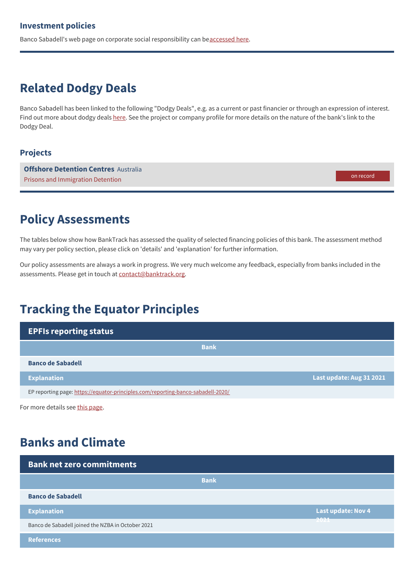Banco Sabadell's web page on corporate social responsibility can be[accessed](https://www.grupbancsabadell.com/corp/en/sustainability/vision.html) here.

## **Related Dodgy Deals**

Banco Sabadell has been linked to the following "Dodgy Deals", e.g. as a current or past financier or through an expression of interest. Find out more about dodgy deals [here](https://www.banktrack.org/show/page/what_are_dodgy_deals). See the project or company profile for more details on the nature of the bank's link to the Dodgy Deal.

#### **Projects**

**Offshore [Detention](https://www.banktrack.org/project/offshore_detention_centres) Centres** Australia Prisons and Immigration Detention

on record

#### **Policy Assessments**

The tables below show how BankTrack has assessed the quality of selected financing policies of this bank. The assessment method may vary per policy section, please click on 'details' and 'explanation' for further information.

Our policy assessments are always a work in progress. We very much welcome any feedback, especially from banks included in the assessments. Please get in touch at [contact@banktrack.org](mailto:climate@banktrack.org).

## **Tracking the Equator Principles**

| <b>EPFIs reporting status</b>                                                    |                          |
|----------------------------------------------------------------------------------|--------------------------|
| <b>Bank</b>                                                                      |                          |
| <b>Banco de Sabadell</b>                                                         |                          |
| <b>Explanation</b>                                                               | Last update: Aug 31 2021 |
| EP reporting page: https://equator-principles.com/reporting-banco-sabadell-2020/ |                          |

For more details see this [page](https://www.banktrack.org/campaign/equator_principles_financial_institutions_reporting_requirements).

### **Banks and Climate**

| <b>Bank net zero commitments</b>                  |                                   |
|---------------------------------------------------|-----------------------------------|
| <b>Bank</b>                                       |                                   |
| <b>Banco de Sabadell</b>                          |                                   |
| <b>Explanation</b>                                | <b>Last update: Nov 4</b><br>---- |
| Banco de Sabadell joined the NZBA in October 2021 | 2021                              |
| <b>References</b>                                 |                                   |